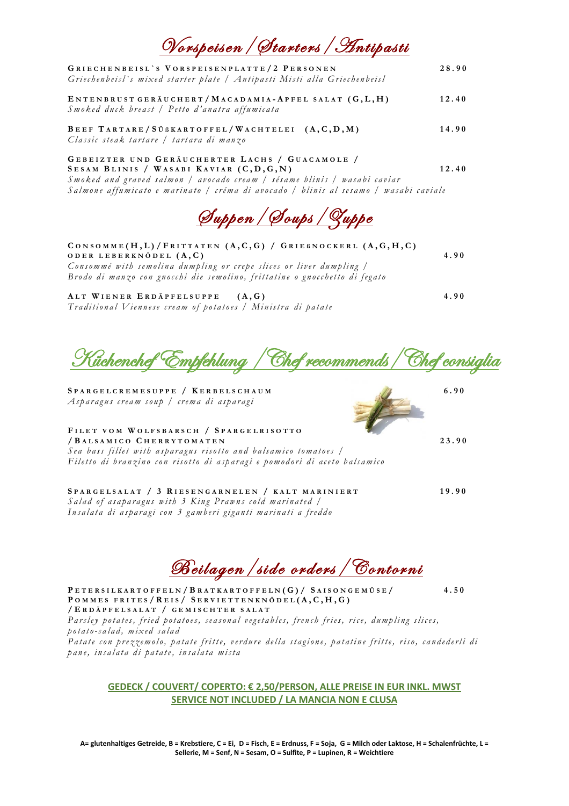| <u> Norspeisen / Starters / Antipasti</u>                                                                                                                                                                                                                       |       |
|-----------------------------------------------------------------------------------------------------------------------------------------------------------------------------------------------------------------------------------------------------------------|-------|
| GRIECHENBEISL'S VORSPEISENPLATTE/2 PERSONEN<br>Griechenbeisl's mixed starter plate   Antipasti Misti alla Griechenbeisl                                                                                                                                         | 28.90 |
| ENTENBRUST GERÄUCHERT / MACADAMIA-APFEL SALAT (G,L,H)<br>Smoked duck breast / Petto d'anatra affumicata                                                                                                                                                         | 12.40 |
| BEEF TARTARE/SÜBKARTOFFEL/WACHTELEI $(A, C, D, M)$<br>Classic steak tartare / tartara di manzo                                                                                                                                                                  | 14.90 |
| GEBEIZTER UND GERÄUCHERTER LACHS / GUACAMOLE /<br>SESAM BLINIS / WASABI KAVIAR (C, D, G, N)<br>Smoked and graved salmon / avocado cream / sésame blinis / wasabi caviar<br>Salmone affumicato e marinato / créma di avocado / blinis al sesamo / wasabi caviale | 12.40 |
|                                                                                                                                                                                                                                                                 |       |

S u p p e n / S o u p s / Z up p e

| CONSOMME(H, L)/FRITTATEN (A, C, G) / GRIEBNOCKERL (A, G, H, C)<br>ODER LEBERKNÖDEL $(A, C)$                                                       | 4.90 |
|---------------------------------------------------------------------------------------------------------------------------------------------------|------|
| Consommé with semolina dumpling or crepe slices or liver dumpling /<br>Brodo di manzo con gnocchi die semolino, frittatine o gnocchetto di fegato |      |
| ALT WIENER ERDÄPFELSUPPE<br>(A, G)<br>Traditional Viennese cream of potatoes / Ministra di patate                                                 | 4.90 |

Küchenchef Empfehlung /Chef recommends/Chef consiglia

**S P A R G E L C R E M E S U P P E / K E R B E L S C H A U M 6 . 9 0** *A s p a r a g u s c r e a m s o u p / c r e m a d i a s p a r ag i*

## **F I L E T V O M W O L F S B A R S C H / S P A R G E L R I S O T T O**

**/ B A L S A M I C O C H E R R Y T O M A T E N 2 3 . 9 0** *Sea bass fillet with asparagus risotto and balsamico tomatoes / F i l e t t o d i b r an z in o c o n r i so t t o d i a sp a r a g i e p o m o d o ri d i ac e t o b a l s a m ic o*

**S P A R G E L S A L A T / 3 R I E S E N G A R N E L E N / K A L T M A R I N I E R T 1 9 . 9 0** *Salad of asaparagus with 3 King Prawns cold marinated /* Insalata di asparagi con 3 gamberi giganti marinati a freddo

Beilagen / side orders / Contorni

**P E T E R S I L K A R T O F F E L N / B R A T K A R T O F F E L N ( G ) / S A I S O N G E M Ü S E / 4 . 5 0 P O M M E S F R I T E S / R E I S / S E R V I E T T E N K N Ö D E L ( A , C , H , G ) / E R D Ä P F E L S A L A T / G E M I S C H T E R S A L A T**  Parsley potates, fried potatoes, seasonal vegetables, french fries, rice, dumpling slices, *p o t a t o-s a la d , m ix e d s a la d* 

Patate con prezzemolo, patate fritte, verdure della stagione, patatine fritte, riso, candederli di *p a n e , in s a l at a d i pa t at e , in s a l a ta m i s ta* 

## **GEDECK / COUVERT/ COPERTO: € 2,50/PERSON, ALLE PREISE IN EUR INKL. MWST SERVICE NOT INCLUDED / LA MANCIA NON E CLUSA**

**A= glutenhaltiges Getreide, B = Krebstiere, C = Ei, D = Fisch, E = Erdnuss, F = Soja, G = Milch oder Laktose, H = Schalenfrüchte, L = Sellerie, M = Senf, N = Sesam, O = Sulfite, P = Lupinen, R = Weichtiere**